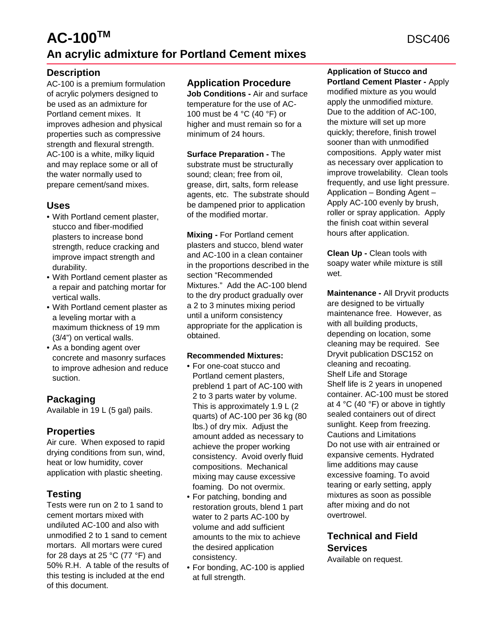# **AC-100TM An acrylic admixture for Portland Cement mixes**

### **Description**

AC-100 is a premium formulation of acrylic polymers designed to be used as an admixture for Portland cement mixes. It improves adhesion and physical properties such as compressive strength and flexural strength. AC-100 is a white, milky liquid and may replace some or all of the water normally used to prepare cement/sand mixes.

### **Uses**

- With Portland cement plaster, stucco and fiber-modified plasters to increase bond strength, reduce cracking and improve impact strength and durability.
- With Portland cement plaster as a repair and patching mortar for vertical walls.
- With Portland cement plaster as a leveling mortar with a maximum thickness of 19 mm (3/4") on vertical walls.
- As a bonding agent over concrete and masonry surfaces to improve adhesion and reduce suction.

## **Packaging**

Available in 19 L (5 gal) pails.

### **Properties**

Air cure. When exposed to rapid drying conditions from sun, wind, heat or low humidity, cover application with plastic sheeting.

## **Testing**

Tests were run on 2 to 1 sand to cement mortars mixed with undiluted AC-100 and also with unmodified 2 to 1 sand to cement mortars. All mortars were cured for 28 days at 25  $^{\circ}$ C (77  $^{\circ}$ F) and 50% R.H. A table of the results of this testing is included at the end of this document.

### **Application Procedure**

**Job Conditions -** Air and surface temperature for the use of AC-100 must be 4 °C (40 °F) or higher and must remain so for a minimum of 24 hours.

**Surface Preparation -** The substrate must be structurally sound; clean; free from oil, grease, dirt, salts, form release agents, etc. The substrate should be dampened prior to application of the modified mortar.

**Mixing -** For Portland cement plasters and stucco, blend water and AC-100 in a clean container in the proportions described in the section "Recommended Mixtures." Add the AC-100 blend to the dry product gradually over a 2 to 3 minutes mixing period until a uniform consistency appropriate for the application is obtained.

#### **Recommended Mixtures:**

- For one-coat stucco and Portland cement plasters, preblend 1 part of AC-100 with 2 to 3 parts water by volume. This is approximately 1.9 L (2 quarts) of AC-100 per 36 kg (80 lbs.) of dry mix. Adjust the amount added as necessary to achieve the proper working consistency. Avoid overly fluid compositions. Mechanical mixing may cause excessive foaming. Do not overmix.
- For patching, bonding and restoration grouts, blend 1 part water to 2 parts AC-100 by volume and add sufficient amounts to the mix to achieve the desired application consistency.
- For bonding, AC-100 is applied at full strength.

**Application of Stucco and Portland Cement Plaster -** Apply modified mixture as you would apply the unmodified mixture. Due to the addition of AC-100, the mixture will set up more quickly; therefore, finish trowel sooner than with unmodified compositions. Apply water mist as necessary over application to improve trowelability. Clean tools frequently, and use light pressure. Application – Bonding Agent – Apply AC-100 evenly by brush, roller or spray application. Apply the finish coat within several hours after application.

**Clean Up -** Clean tools with soapy water while mixture is still wet

**Maintenance -** All Dryvit products are designed to be virtually maintenance free. However, as with all building products, depending on location, some cleaning may be required. See Dryvit publication DSC152 on cleaning and recoating. Shelf Life and Storage Shelf life is 2 years in unopened container. AC-100 must be stored at 4 °C (40 °F) or above in tightly sealed containers out of direct sunlight. Keep from freezing. Cautions and Limitations Do not use with air entrained or expansive cements. Hydrated lime additions may cause excessive foaming. To avoid tearing or early setting, apply mixtures as soon as possible after mixing and do not overtrowel.

## **Technical and Field Services**

Available on request.